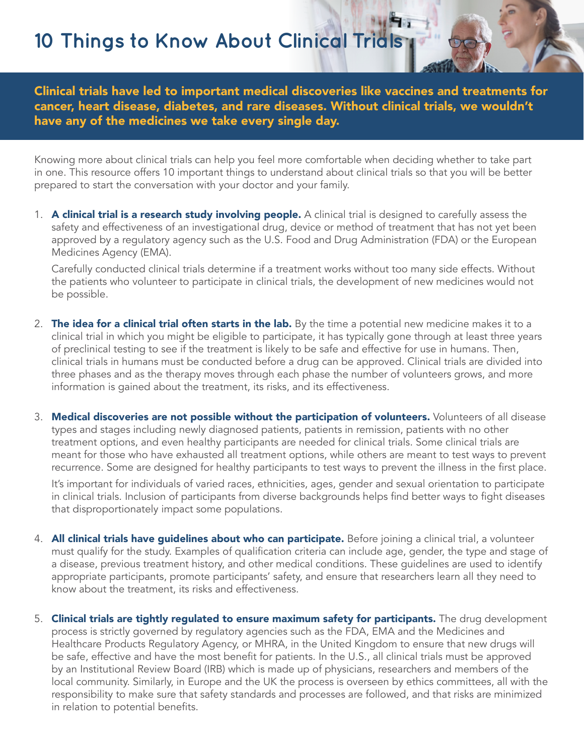**10 Things to Know About Clinical Trials**

Clinical trials have led to important medical discoveries like vaccines and treatments for cancer, heart disease, diabetes, and rare diseases. Without clinical trials, we wouldn't have any of the medicines we take every single day.

Knowing more about clinical trials can help you feel more comfortable when deciding whether to take part in one. This resource offers 10 important things to understand about clinical trials so that you will be better prepared to start the conversation with your doctor and your family.

1. A clinical trial is a research study involving people. A clinical trial is designed to carefully assess the safety and effectiveness of an investigational drug, device or method of treatment that has not yet been approved by a regulatory agency such as the U.S. Food and Drug Administration (FDA) or the European Medicines Agency (EMA).

Carefully conducted clinical trials determine if a treatment works without too many side effects. Without the patients who volunteer to participate in clinical trials, the development of new medicines would not be possible.

- 2. The idea for a clinical trial often starts in the lab. By the time a potential new medicine makes it to a clinical trial in which you might be eligible to participate, it has typically gone through at least three years of preclinical testing to see if the treatment is likely to be safe and effective for use in humans. Then, clinical trials in humans must be conducted before a drug can be approved. Clinical trials are divided into three phases and as the therapy moves through each phase the number of volunteers grows, and more information is gained about the treatment, its risks, and its effectiveness.
- 3. Medical discoveries are not possible without the participation of volunteers. Volunteers of all disease types and stages including newly diagnosed patients, patients in remission, patients with no other treatment options, and even healthy participants are needed for clinical trials. Some clinical trials are meant for those who have exhausted all treatment options, while others are meant to test ways to prevent recurrence. Some are designed for healthy participants to test ways to prevent the illness in the first place.

It's important for individuals of varied races, ethnicities, ages, gender and sexual orientation to participate in clinical trials. Inclusion of participants from diverse backgrounds helps find better ways to fight diseases that disproportionately impact some populations.

- 4. **All clinical trials have guidelines about who can participate.** Before joining a clinical trial, a volunteer must qualify for the study. Examples of qualification criteria can include age, gender, the type and stage of a disease, previous treatment history, and other medical conditions. These guidelines are used to identify appropriate participants, promote participants' safety, and ensure that researchers learn all they need to know about the treatment, its risks and effectiveness.
- 5. Clinical trials are tightly regulated to ensure maximum safety for participants. The drug development process is strictly governed by regulatory agencies such as the FDA, EMA and the Medicines and Healthcare Products Regulatory Agency, or MHRA, in the United Kingdom to ensure that new drugs will be safe, effective and have the most benefit for patients. In the U.S., all clinical trials must be approved by an Institutional Review Board (IRB) which is made up of physicians, researchers and members of the local community. Similarly, in Europe and the UK the process is overseen by ethics committees, all with the responsibility to make sure that safety standards and processes are followed, and that risks are minimized in relation to potential benefits.